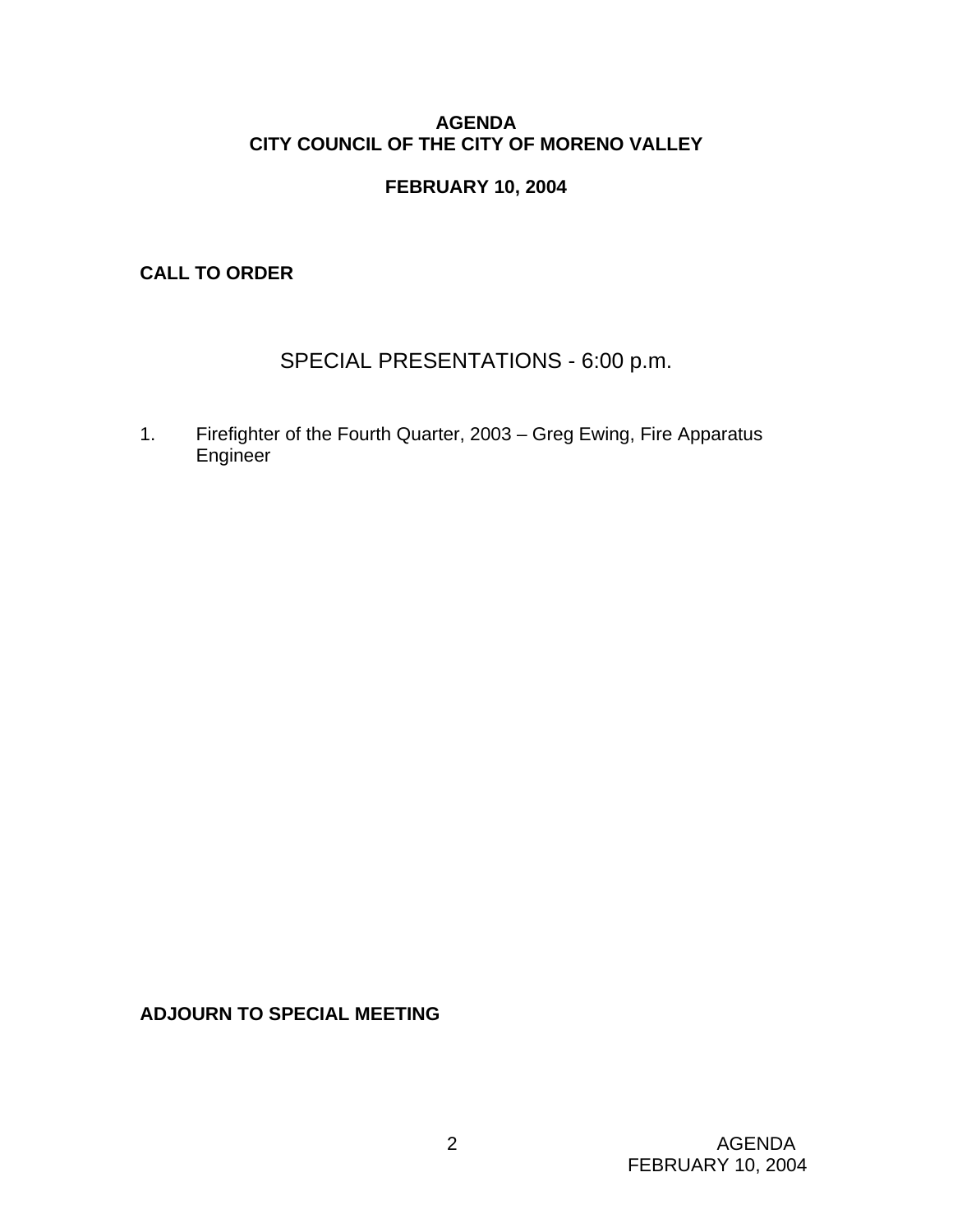#### **AGENDA CITY COUNCIL OF THE CITY OF MORENO VALLEY**

### **FEBRUARY 10, 2004**

**CALL TO ORDER** 

# SPECIAL PRESENTATIONS - 6:00 p.m.

1. Firefighter of the Fourth Quarter, 2003 – Greg Ewing, Fire Apparatus Engineer

**ADJOURN TO SPECIAL MEETING**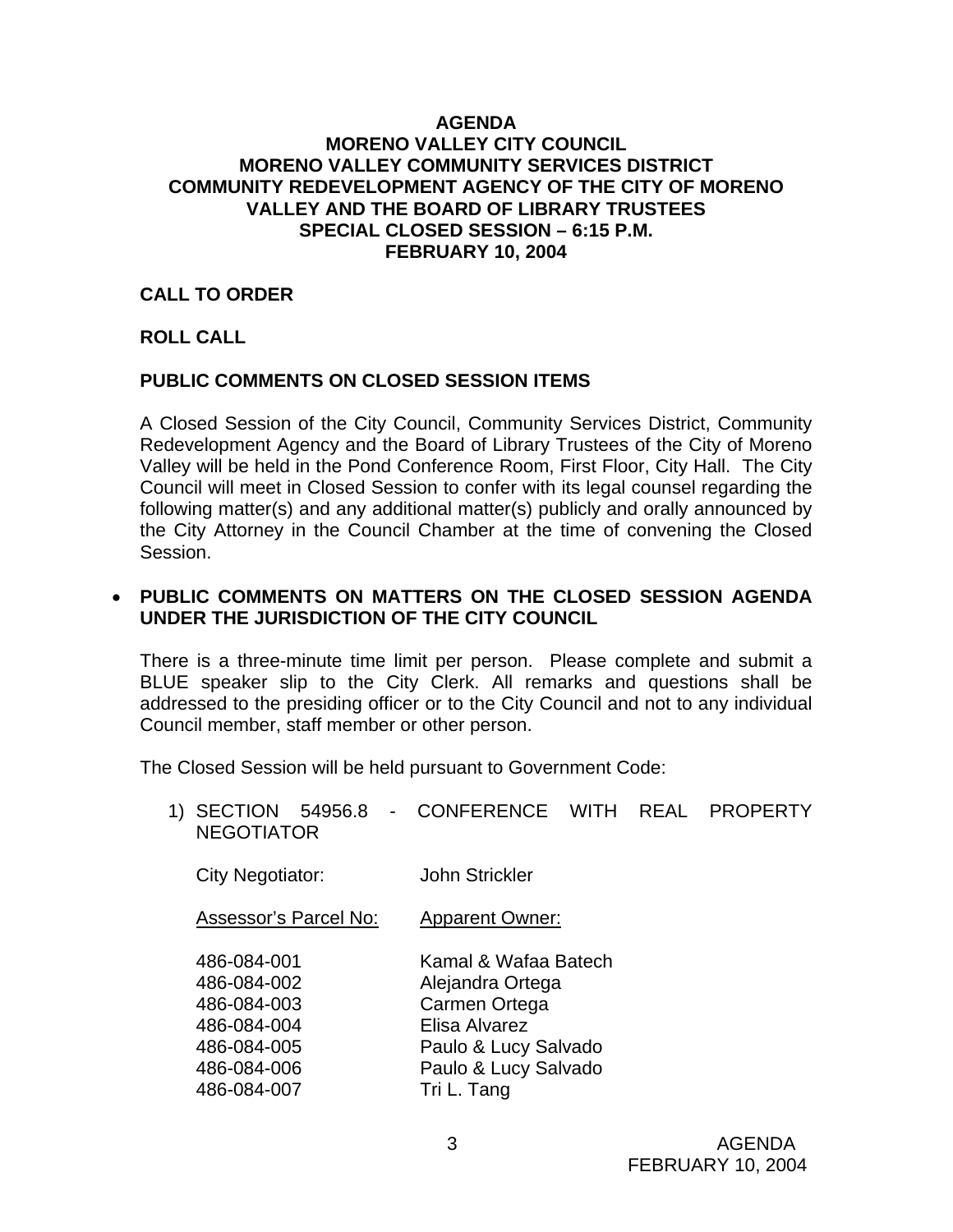#### **AGENDA MORENO VALLEY CITY COUNCIL MORENO VALLEY COMMUNITY SERVICES DISTRICT COMMUNITY REDEVELOPMENT AGENCY OF THE CITY OF MORENO VALLEY AND THE BOARD OF LIBRARY TRUSTEES SPECIAL CLOSED SESSION – 6:15 P.M. FEBRUARY 10, 2004**

#### **CALL TO ORDER**

### **ROLL CALL**

### **PUBLIC COMMENTS ON CLOSED SESSION ITEMS**

A Closed Session of the City Council, Community Services District, Community Redevelopment Agency and the Board of Library Trustees of the City of Moreno Valley will be held in the Pond Conference Room, First Floor, City Hall. The City Council will meet in Closed Session to confer with its legal counsel regarding the following matter(s) and any additional matter(s) publicly and orally announced by the City Attorney in the Council Chamber at the time of convening the Closed Session.

#### • **PUBLIC COMMENTS ON MATTERS ON THE CLOSED SESSION AGENDA UNDER THE JURISDICTION OF THE CITY COUNCIL**

There is a three-minute time limit per person. Please complete and submit a BLUE speaker slip to the City Clerk. All remarks and questions shall be addressed to the presiding officer or to the City Council and not to any individual Council member, staff member or other person.

The Closed Session will be held pursuant to Government Code:

1) SECTION 54956.8 - CONFERENCE WITH REAL PROPERTY NEGOTIATOR

| City Negotiator:                                                                       | <b>John Strickler</b>                                                                                                      |
|----------------------------------------------------------------------------------------|----------------------------------------------------------------------------------------------------------------------------|
| Assessor's Parcel No:                                                                  | <b>Apparent Owner:</b>                                                                                                     |
| 486-084-001<br>486-084-002<br>486-084-003<br>486-084-004<br>486-084-005<br>486-084-006 | Kamal & Wafaa Batech<br>Alejandra Ortega<br>Carmen Ortega<br>Elisa Alvarez<br>Paulo & Lucy Salvado<br>Paulo & Lucy Salvado |
| 486-084-007                                                                            | Tri L. Tang                                                                                                                |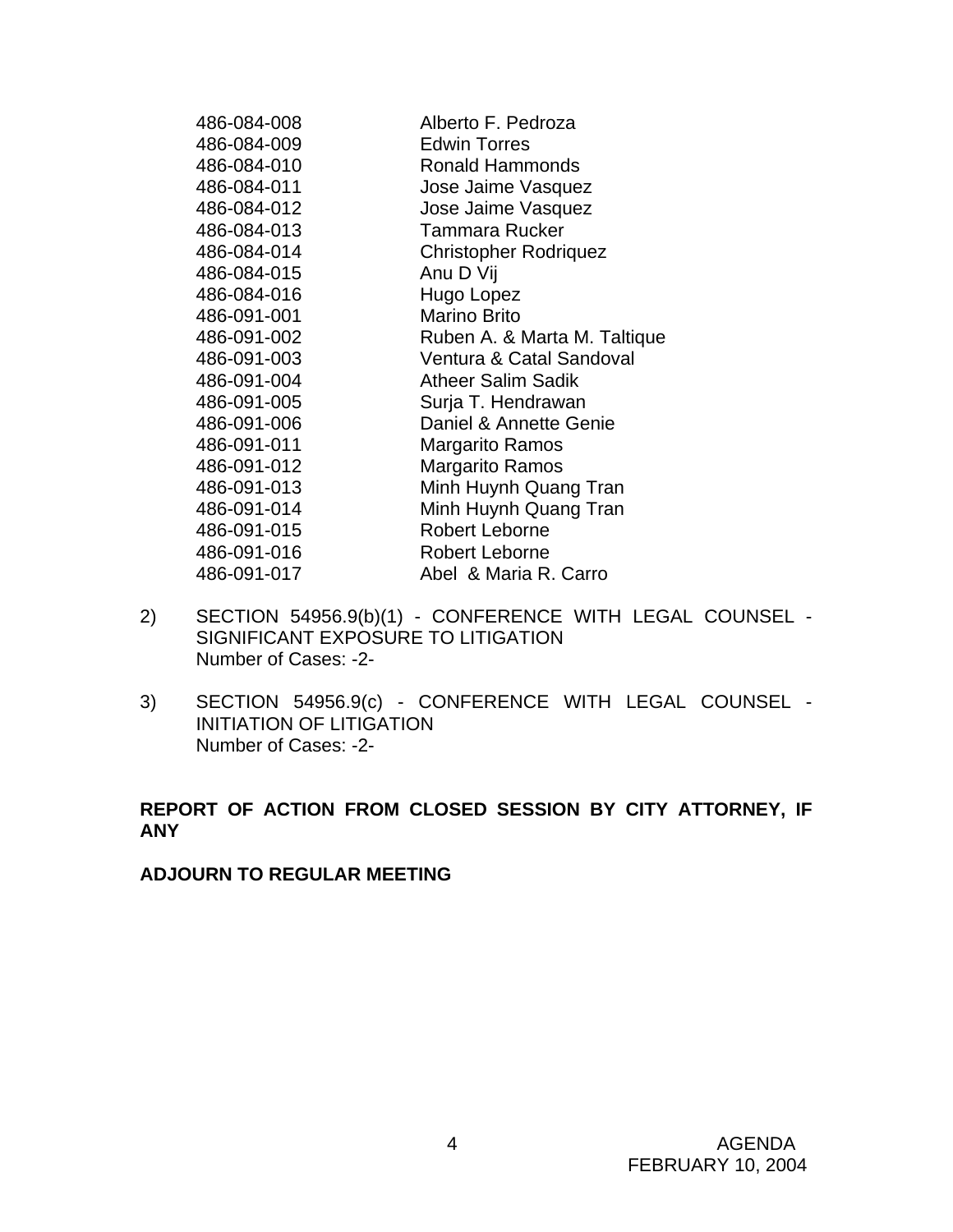| 486-084-008 | Alberto F. Pedroza           |
|-------------|------------------------------|
| 486-084-009 | <b>Edwin Torres</b>          |
| 486-084-010 | Ronald Hammonds              |
| 486-084-011 | Jose Jaime Vasquez           |
| 486-084-012 | Jose Jaime Vasquez           |
| 486-084-013 | <b>Tammara Rucker</b>        |
| 486-084-014 | <b>Christopher Rodriquez</b> |
| 486-084-015 | Anu D Vij                    |
| 486-084-016 | Hugo Lopez                   |
| 486-091-001 | <b>Marino Brito</b>          |
| 486-091-002 | Ruben A. & Marta M. Taltique |
| 486-091-003 | Ventura & Catal Sandoval     |
| 486-091-004 | <b>Atheer Salim Sadik</b>    |
| 486-091-005 | Surja T. Hendrawan           |
| 486-091-006 | Daniel & Annette Genie       |
| 486-091-011 | <b>Margarito Ramos</b>       |
| 486-091-012 | <b>Margarito Ramos</b>       |
| 486-091-013 | Minh Huynh Quang Tran        |
| 486-091-014 | Minh Huynh Quang Tran        |
| 486-091-015 | Robert Leborne               |
| 486-091-016 | Robert Leborne               |
| 486-091-017 | Abel & Maria R. Carro        |

- 2) SECTION 54956.9(b)(1) CONFERENCE WITH LEGAL COUNSEL SIGNIFICANT EXPOSURE TO LITIGATION Number of Cases: -2-
- 3) SECTION 54956.9(c) CONFERENCE WITH LEGAL COUNSEL INITIATION OF LITIGATION Number of Cases: -2-

### **REPORT OF ACTION FROM CLOSED SESSION BY CITY ATTORNEY, IF ANY**

**ADJOURN TO REGULAR MEETING**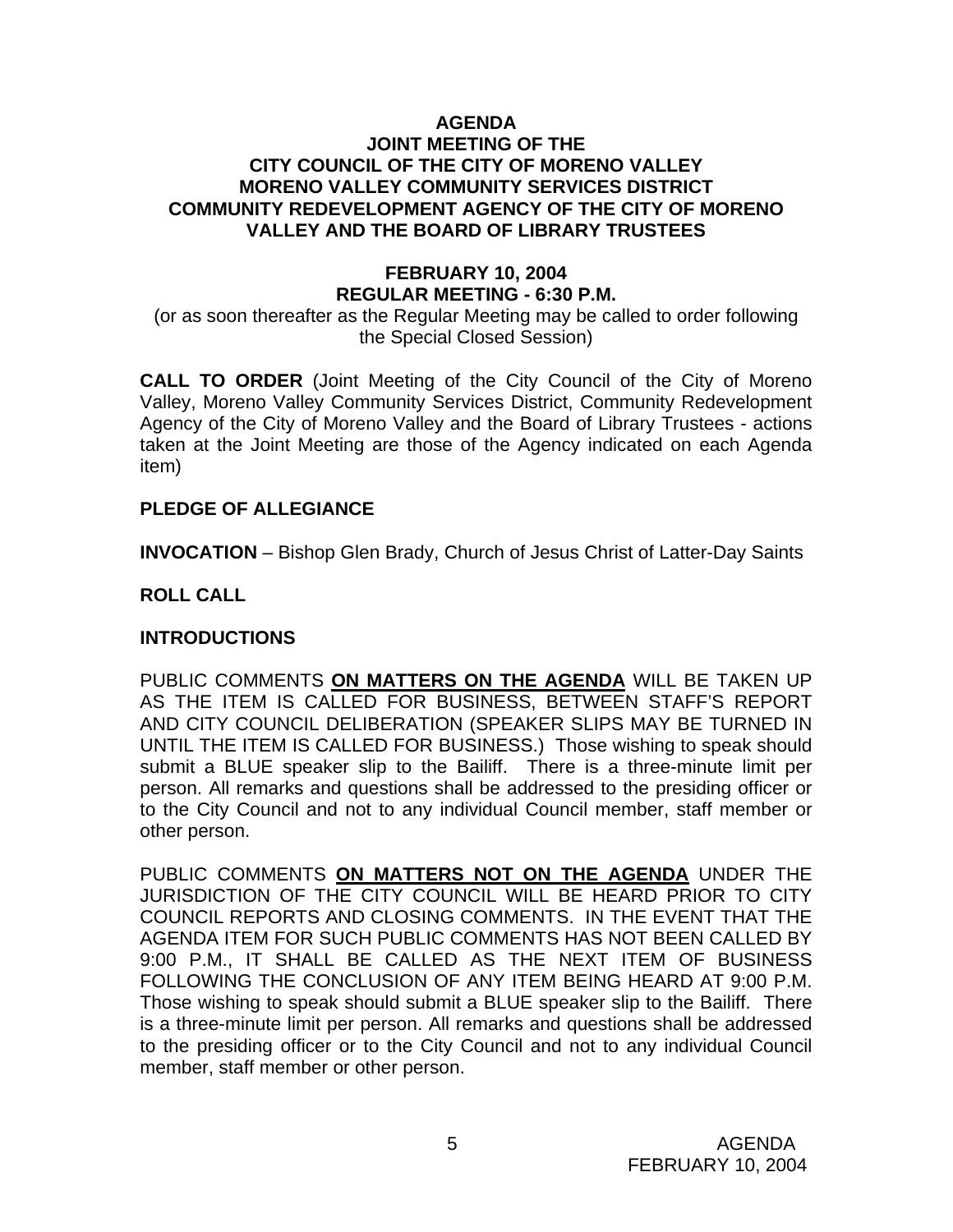#### **AGENDA JOINT MEETING OF THE CITY COUNCIL OF THE CITY OF MORENO VALLEY MORENO VALLEY COMMUNITY SERVICES DISTRICT COMMUNITY REDEVELOPMENT AGENCY OF THE CITY OF MORENO VALLEY AND THE BOARD OF LIBRARY TRUSTEES**

# **FEBRUARY 10, 2004 REGULAR MEETING - 6:30 P.M.**

(or as soon thereafter as the Regular Meeting may be called to order following the Special Closed Session)

**CALL TO ORDER** (Joint Meeting of the City Council of the City of Moreno Valley, Moreno Valley Community Services District, Community Redevelopment Agency of the City of Moreno Valley and the Board of Library Trustees - actions taken at the Joint Meeting are those of the Agency indicated on each Agenda item)

#### **PLEDGE OF ALLEGIANCE**

**INVOCATION** – Bishop Glen Brady, Church of Jesus Christ of Latter-Day Saints

### **ROLL CALL**

#### **INTRODUCTIONS**

PUBLIC COMMENTS **ON MATTERS ON THE AGENDA** WILL BE TAKEN UP AS THE ITEM IS CALLED FOR BUSINESS, BETWEEN STAFF'S REPORT AND CITY COUNCIL DELIBERATION (SPEAKER SLIPS MAY BE TURNED IN UNTIL THE ITEM IS CALLED FOR BUSINESS.) Those wishing to speak should submit a BLUE speaker slip to the Bailiff. There is a three-minute limit per person. All remarks and questions shall be addressed to the presiding officer or to the City Council and not to any individual Council member, staff member or other person.

PUBLIC COMMENTS **ON MATTERS NOT ON THE AGENDA** UNDER THE JURISDICTION OF THE CITY COUNCIL WILL BE HEARD PRIOR TO CITY COUNCIL REPORTS AND CLOSING COMMENTS. IN THE EVENT THAT THE AGENDA ITEM FOR SUCH PUBLIC COMMENTS HAS NOT BEEN CALLED BY 9:00 P.M., IT SHALL BE CALLED AS THE NEXT ITEM OF BUSINESS FOLLOWING THE CONCLUSION OF ANY ITEM BEING HEARD AT 9:00 P.M. Those wishing to speak should submit a BLUE speaker slip to the Bailiff. There is a three-minute limit per person. All remarks and questions shall be addressed to the presiding officer or to the City Council and not to any individual Council member, staff member or other person.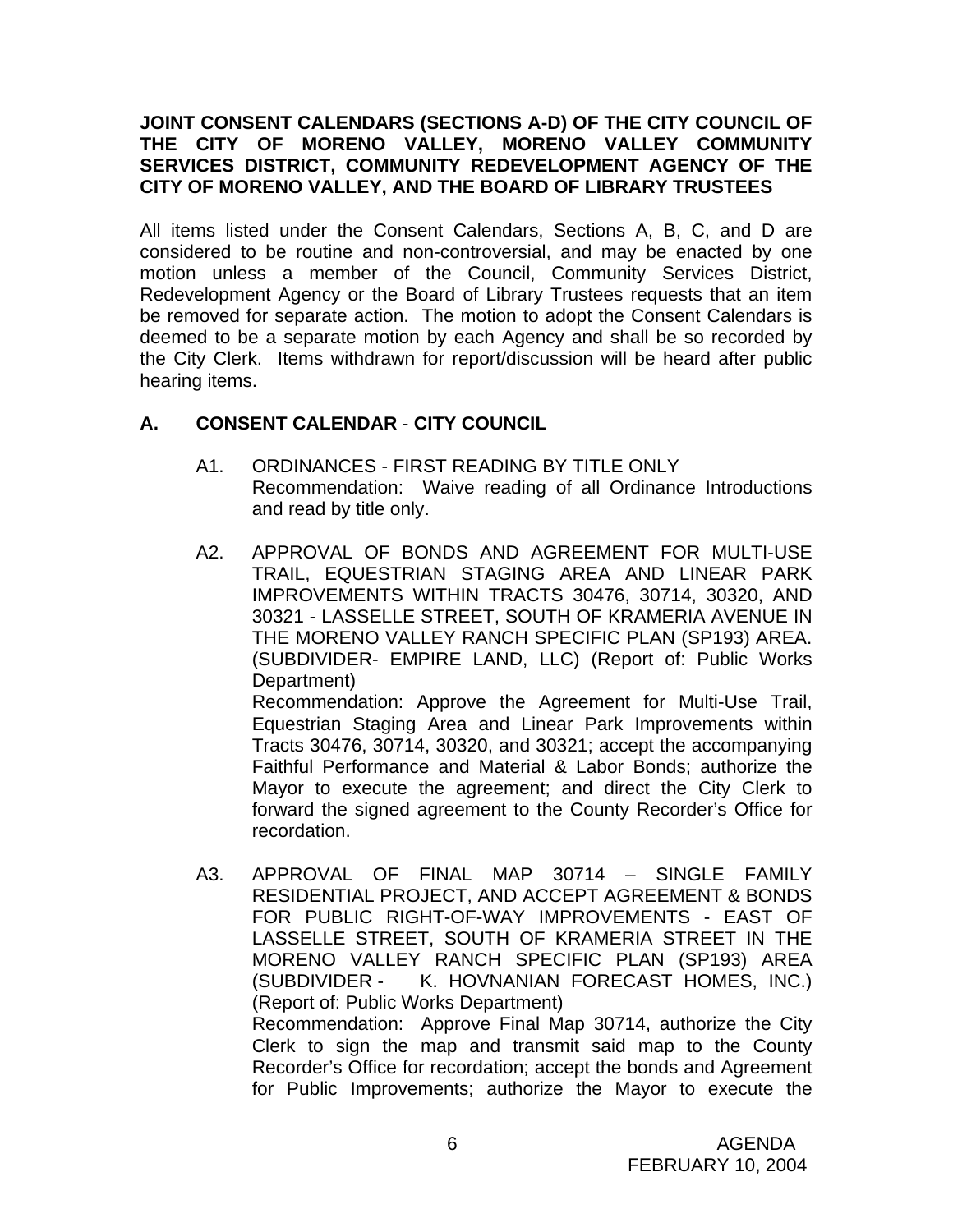### **JOINT CONSENT CALENDARS (SECTIONS A-D) OF THE CITY COUNCIL OF THE CITY OF MORENO VALLEY, MORENO VALLEY COMMUNITY SERVICES DISTRICT, COMMUNITY REDEVELOPMENT AGENCY OF THE CITY OF MORENO VALLEY, AND THE BOARD OF LIBRARY TRUSTEES**

All items listed under the Consent Calendars, Sections A, B, C, and D are considered to be routine and non-controversial, and may be enacted by one motion unless a member of the Council, Community Services District, Redevelopment Agency or the Board of Library Trustees requests that an item be removed for separate action. The motion to adopt the Consent Calendars is deemed to be a separate motion by each Agency and shall be so recorded by the City Clerk. Items withdrawn for report/discussion will be heard after public hearing items.

# **A. CONSENT CALENDAR** - **CITY COUNCIL**

- A1. ORDINANCES FIRST READING BY TITLE ONLY Recommendation: Waive reading of all Ordinance Introductions and read by title only.
- A2. APPROVAL OF BONDS AND AGREEMENT FOR MULTI-USE TRAIL, EQUESTRIAN STAGING AREA AND LINEAR PARK IMPROVEMENTS WITHIN TRACTS 30476, 30714, 30320, AND 30321 - LASSELLE STREET, SOUTH OF KRAMERIA AVENUE IN THE MORENO VALLEY RANCH SPECIFIC PLAN (SP193) AREA. (SUBDIVIDER- EMPIRE LAND, LLC) (Report of: Public Works Department) Recommendation: Approve the Agreement for Multi-Use Trail, Equestrian Staging Area and Linear Park Improvements within Tracts 30476, 30714, 30320, and 30321; accept the accompanying

Faithful Performance and Material & Labor Bonds; authorize the Mayor to execute the agreement; and direct the City Clerk to forward the signed agreement to the County Recorder's Office for recordation.

A3. APPROVAL OF FINAL MAP 30714 – SINGLE FAMILY RESIDENTIAL PROJECT, AND ACCEPT AGREEMENT & BONDS FOR PUBLIC RIGHT-OF-WAY IMPROVEMENTS - EAST OF LASSELLE STREET, SOUTH OF KRAMERIA STREET IN THE MORENO VALLEY RANCH SPECIFIC PLAN (SP193) AREA (SUBDIVIDER - K. HOVNANIAN FORECAST HOMES, INC.) (Report of: Public Works Department) Recommendation: Approve Final Map 30714, authorize the City Clerk to sign the map and transmit said map to the County Recorder's Office for recordation; accept the bonds and Agreement for Public Improvements; authorize the Mayor to execute the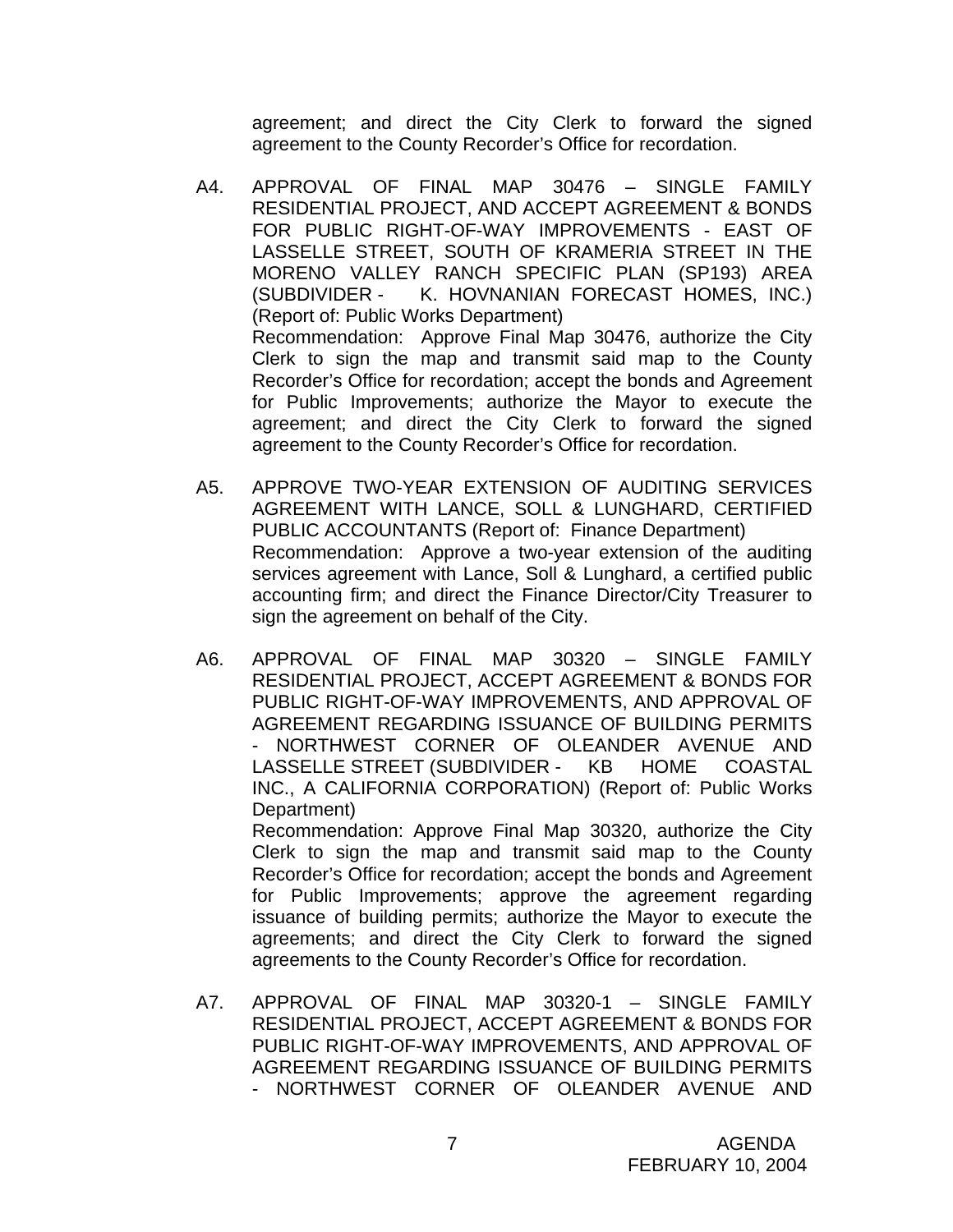agreement; and direct the City Clerk to forward the signed agreement to the County Recorder's Office for recordation.

- A4. APPROVAL OF FINAL MAP 30476 SINGLE FAMILY RESIDENTIAL PROJECT, AND ACCEPT AGREEMENT & BONDS FOR PUBLIC RIGHT-OF-WAY IMPROVEMENTS - EAST OF LASSELLE STREET, SOUTH OF KRAMERIA STREET IN THE MORENO VALLEY RANCH SPECIFIC PLAN (SP193) AREA (SUBDIVIDER - K. HOVNANIAN FORECAST HOMES, INC.) (Report of: Public Works Department) Recommendation: Approve Final Map 30476, authorize the City Clerk to sign the map and transmit said map to the County Recorder's Office for recordation; accept the bonds and Agreement for Public Improvements; authorize the Mayor to execute the agreement; and direct the City Clerk to forward the signed agreement to the County Recorder's Office for recordation.
- A5. APPROVE TWO-YEAR EXTENSION OF AUDITING SERVICES AGREEMENT WITH LANCE, SOLL & LUNGHARD, CERTIFIED PUBLIC ACCOUNTANTS (Report of: Finance Department) Recommendation:Approve a two-year extension of the auditing services agreement with Lance, Soll & Lunghard, a certified public accounting firm; and direct the Finance Director/City Treasurer to sign the agreement on behalf of the City.
- A6. APPROVAL OF FINAL MAP 30320 SINGLE FAMILY RESIDENTIAL PROJECT, ACCEPT AGREEMENT & BONDS FOR PUBLIC RIGHT-OF-WAY IMPROVEMENTS, AND APPROVAL OF AGREEMENT REGARDING ISSUANCE OF BUILDING PERMITS - NORTHWEST CORNER OF OLEANDER AVENUE AND LASSELLE STREET (SUBDIVIDER - KB HOME COASTAL INC., A CALIFORNIA CORPORATION) (Report of: Public Works Department)

 Recommendation: Approve Final Map 30320, authorize the City Clerk to sign the map and transmit said map to the County Recorder's Office for recordation; accept the bonds and Agreement for Public Improvements; approve the agreement regarding issuance of building permits; authorize the Mayor to execute the agreements; and direct the City Clerk to forward the signed agreements to the County Recorder's Office for recordation.

A7. APPROVAL OF FINAL MAP 30320-1 – SINGLE FAMILY RESIDENTIAL PROJECT, ACCEPT AGREEMENT & BONDS FOR PUBLIC RIGHT-OF-WAY IMPROVEMENTS, AND APPROVAL OF AGREEMENT REGARDING ISSUANCE OF BUILDING PERMITS - NORTHWEST CORNER OF OLEANDER AVENUE AND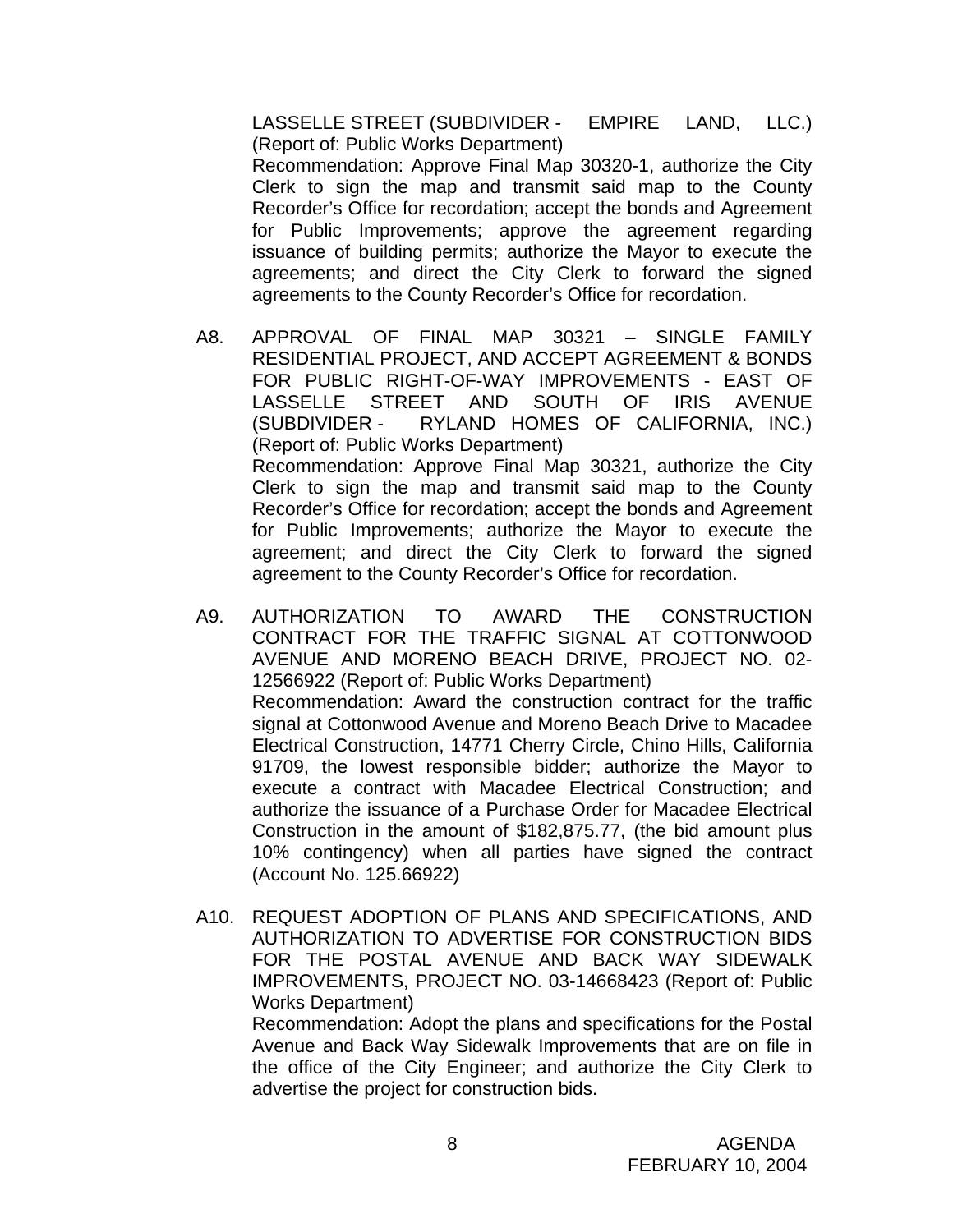LASSELLE STREET (SUBDIVIDER - EMPIRE LAND, LLC.) (Report of: Public Works Department)

 Recommendation: Approve Final Map 30320-1, authorize the City Clerk to sign the map and transmit said map to the County Recorder's Office for recordation; accept the bonds and Agreement for Public Improvements; approve the agreement regarding issuance of building permits; authorize the Mayor to execute the agreements; and direct the City Clerk to forward the signed agreements to the County Recorder's Office for recordation.

- A8. APPROVAL OF FINAL MAP 30321 SINGLE FAMILY RESIDENTIAL PROJECT, AND ACCEPT AGREEMENT & BONDS FOR PUBLIC RIGHT-OF-WAY IMPROVEMENTS - EAST OF LASSELLE STREET AND SOUTH OF IRIS AVENUE (SUBDIVIDER - RYLAND HOMES OF CALIFORNIA, INC.) (Report of: Public Works Department) Recommendation: Approve Final Map 30321, authorize the City Clerk to sign the map and transmit said map to the County Recorder's Office for recordation; accept the bonds and Agreement for Public Improvements; authorize the Mayor to execute the agreement; and direct the City Clerk to forward the signed agreement to the County Recorder's Office for recordation.
- A9. AUTHORIZATION TO AWARD THE CONSTRUCTION CONTRACT FOR THE TRAFFIC SIGNAL AT COTTONWOOD AVENUE AND MORENO BEACH DRIVE, PROJECT NO. 02- 12566922 (Report of: Public Works Department) Recommendation: Award the construction contract for the traffic signal at Cottonwood Avenue and Moreno Beach Drive to Macadee Electrical Construction, 14771 Cherry Circle, Chino Hills, California 91709, the lowest responsible bidder; authorize the Mayor to execute a contract with Macadee Electrical Construction; and authorize the issuance of a Purchase Order for Macadee Electrical Construction in the amount of \$182,875.77, (the bid amount plus 10% contingency) when all parties have signed the contract (Account No. 125.66922)
- A10. REQUEST ADOPTION OF PLANS AND SPECIFICATIONS, AND AUTHORIZATION TO ADVERTISE FOR CONSTRUCTION BIDS FOR THE POSTAL AVENUE AND BACK WAY SIDEWALK IMPROVEMENTS, PROJECT NO. 03-14668423 (Report of: Public Works Department)

 Recommendation: Adopt the plans and specifications for the Postal Avenue and Back Way Sidewalk Improvements that are on file in the office of the City Engineer; and authorize the City Clerk to advertise the project for construction bids.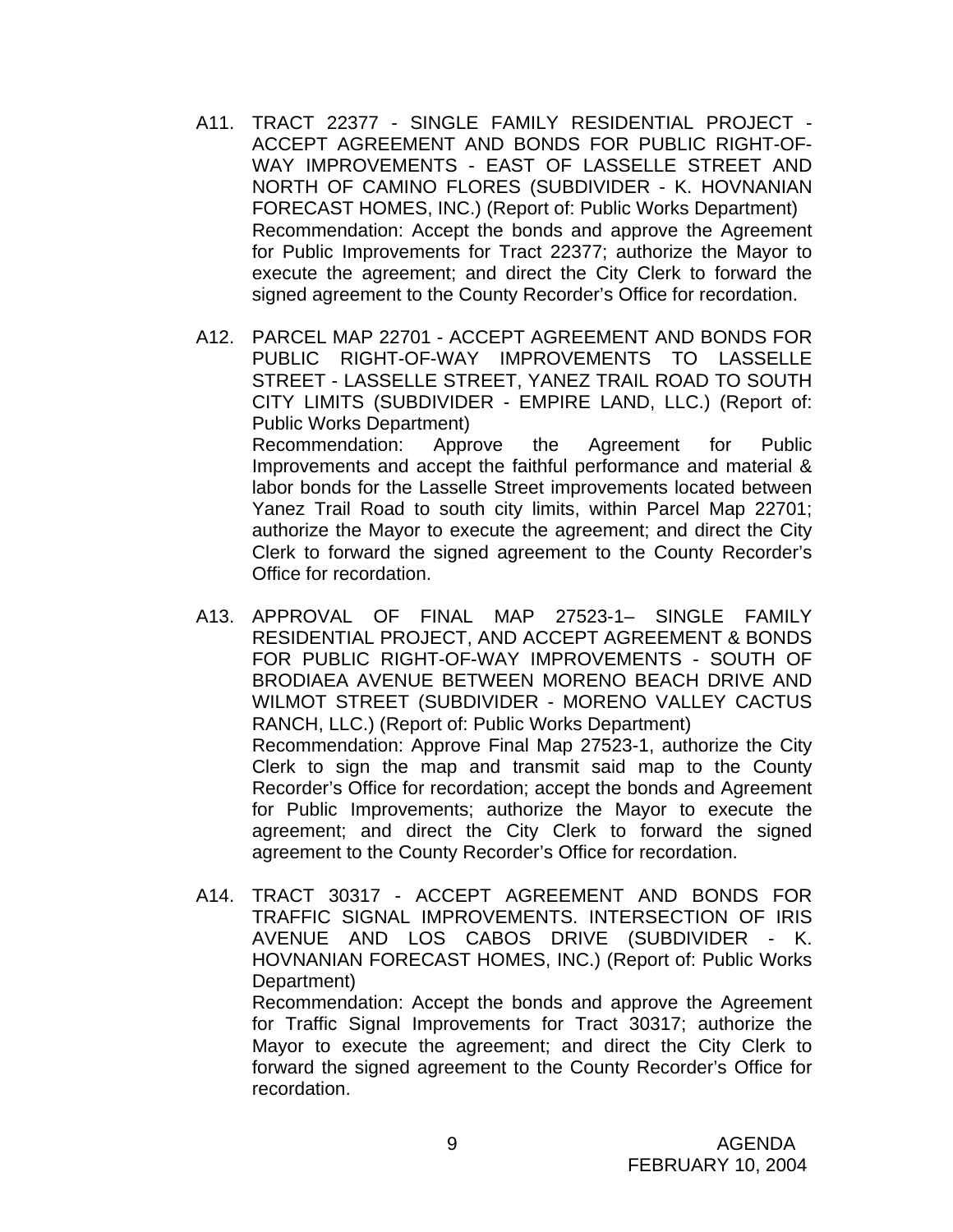- A11. TRACT 22377 SINGLE FAMILY RESIDENTIAL PROJECT ACCEPT AGREEMENT AND BONDS FOR PUBLIC RIGHT-OF-WAY IMPROVEMENTS - EAST OF LASSELLE STREET AND NORTH OF CAMINO FLORES (SUBDIVIDER - K. HOVNANIAN FORECAST HOMES, INC.) (Report of: Public Works Department) Recommendation: Accept the bonds and approve the Agreement for Public Improvements for Tract 22377; authorize the Mayor to execute the agreement; and direct the City Clerk to forward the signed agreement to the County Recorder's Office for recordation.
- A12. PARCEL MAP 22701 ACCEPT AGREEMENT AND BONDS FOR PUBLIC RIGHT-OF-WAY IMPROVEMENTS TO LASSELLE STREET - LASSELLE STREET, YANEZ TRAIL ROAD TO SOUTH CITY LIMITS (SUBDIVIDER - EMPIRE LAND, LLC.) (Report of: Public Works Department) Recommendation: Approve the Agreement for Public Improvements and accept the faithful performance and material & labor bonds for the Lasselle Street improvements located between Yanez Trail Road to south city limits, within Parcel Map 22701; authorize the Mayor to execute the agreement; and direct the City Clerk to forward the signed agreement to the County Recorder's Office for recordation.
- A13. APPROVAL OF FINAL MAP 27523-1– SINGLE FAMILY RESIDENTIAL PROJECT, AND ACCEPT AGREEMENT & BONDS FOR PUBLIC RIGHT-OF-WAY IMPROVEMENTS - SOUTH OF BRODIAEA AVENUE BETWEEN MORENO BEACH DRIVE AND WILMOT STREET (SUBDIVIDER - MORENO VALLEY CACTUS RANCH, LLC.) (Report of: Public Works Department) Recommendation: Approve Final Map 27523-1, authorize the City Clerk to sign the map and transmit said map to the County Recorder's Office for recordation; accept the bonds and Agreement for Public Improvements; authorize the Mayor to execute the agreement; and direct the City Clerk to forward the signed agreement to the County Recorder's Office for recordation.
- A14. TRACT 30317 ACCEPT AGREEMENT AND BONDS FOR TRAFFIC SIGNAL IMPROVEMENTS. INTERSECTION OF IRIS AVENUE AND LOS CABOS DRIVE (SUBDIVIDER - K. HOVNANIAN FORECAST HOMES, INC.) (Report of: Public Works Department) Recommendation: Accept the bonds and approve the Agreement

for Traffic Signal Improvements for Tract 30317; authorize the Mayor to execute the agreement; and direct the City Clerk to forward the signed agreement to the County Recorder's Office for recordation.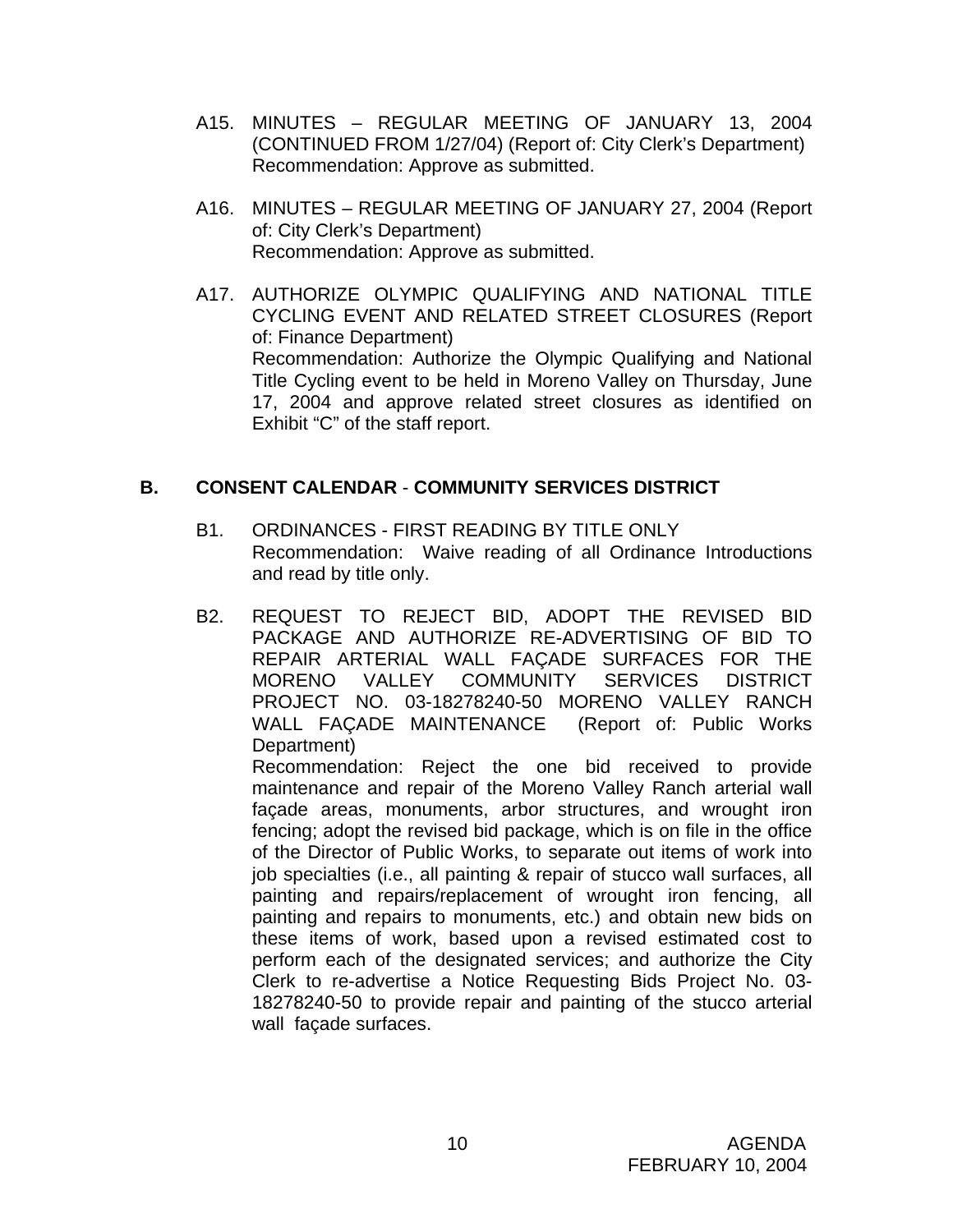- A15. MINUTES REGULAR MEETING OF JANUARY 13, 2004 (CONTINUED FROM 1/27/04) (Report of: City Clerk's Department) Recommendation: Approve as submitted.
- A16. MINUTES REGULAR MEETING OF JANUARY 27, 2004 (Report of: City Clerk's Department) Recommendation: Approve as submitted.
- A17. AUTHORIZE OLYMPIC QUALIFYING AND NATIONAL TITLE CYCLING EVENT AND RELATED STREET CLOSURES (Report of: Finance Department) Recommendation: Authorize the Olympic Qualifying and National Title Cycling event to be held in Moreno Valley on Thursday, June 17, 2004 and approve related street closures as identified on Exhibit "C" of the staff report.

### **B. CONSENT CALENDAR** - **COMMUNITY SERVICES DISTRICT**

- B1. ORDINANCES FIRST READING BY TITLE ONLY Recommendation: Waive reading of all Ordinance Introductions and read by title only.
- B2. REQUEST TO REJECT BID, ADOPT THE REVISED BID PACKAGE AND AUTHORIZE RE-ADVERTISING OF BID TO REPAIR ARTERIAL WALL FAÇADE SURFACES FOR THE MORENO VALLEY COMMUNITY SERVICES DISTRICT PROJECT NO. 03-18278240-50 MORENO VALLEY RANCH WALL FAÇADE MAINTENANCE (Report of: Public Works Department)

 Recommendation: Reject the one bid received to provide maintenance and repair of the Moreno Valley Ranch arterial wall façade areas, monuments, arbor structures, and wrought iron fencing; adopt the revised bid package, which is on file in the office of the Director of Public Works, to separate out items of work into job specialties (i.e., all painting & repair of stucco wall surfaces, all painting and repairs/replacement of wrought iron fencing, all painting and repairs to monuments, etc.) and obtain new bids on these items of work, based upon a revised estimated cost to perform each of the designated services; and authorize the City Clerk to re-advertise a Notice Requesting Bids Project No. 03- 18278240-50 to provide repair and painting of the stucco arterial wall façade surfaces.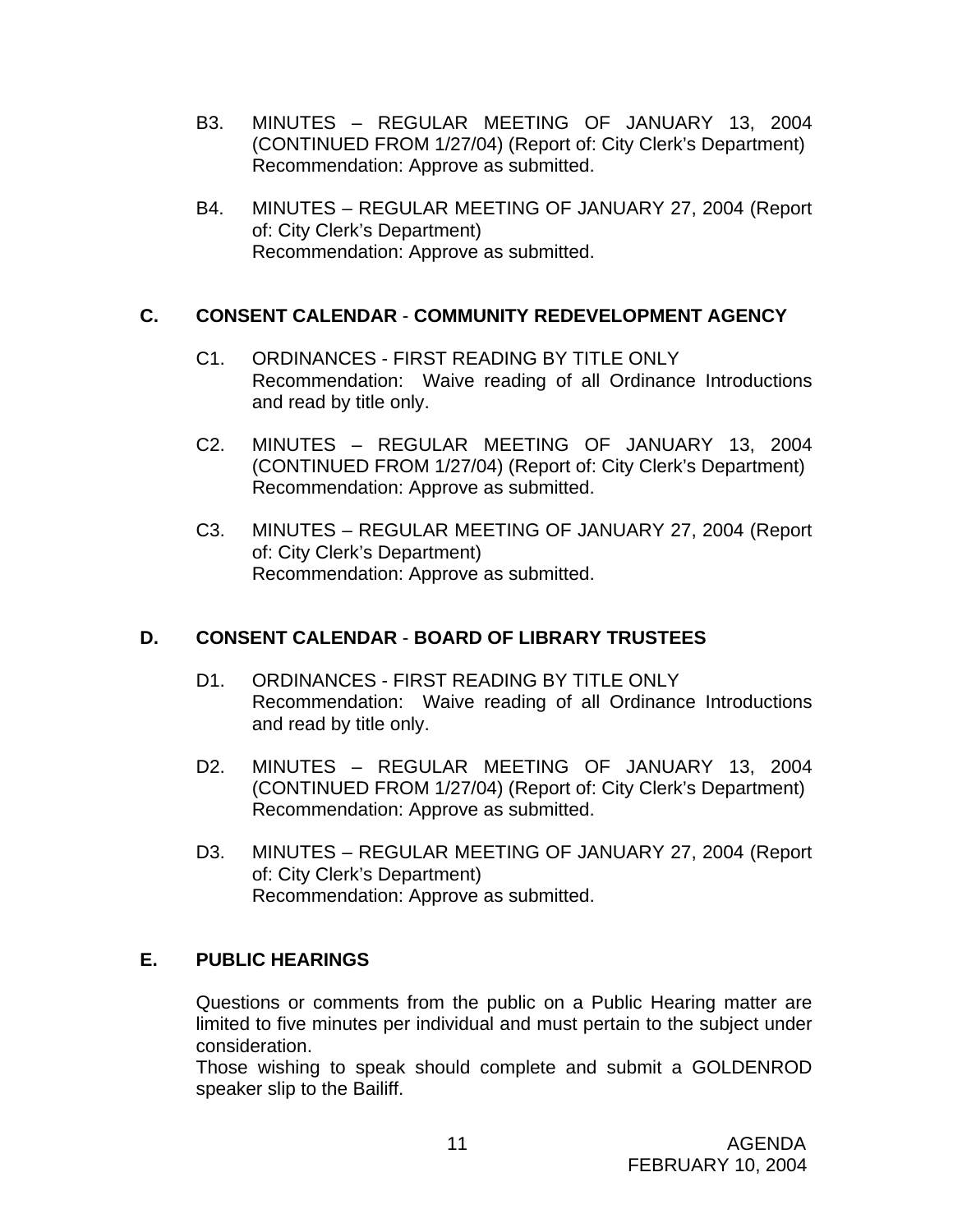- B3. MINUTES REGULAR MEETING OF JANUARY 13, 2004 (CONTINUED FROM 1/27/04) (Report of: City Clerk's Department) Recommendation: Approve as submitted.
- B4. MINUTES REGULAR MEETING OF JANUARY 27, 2004 (Report of: City Clerk's Department) Recommendation: Approve as submitted.

### **C. CONSENT CALENDAR** - **COMMUNITY REDEVELOPMENT AGENCY**

- C1. ORDINANCES FIRST READING BY TITLE ONLY Recommendation: Waive reading of all Ordinance Introductions and read by title only.
- C2. MINUTES REGULAR MEETING OF JANUARY 13, 2004 (CONTINUED FROM 1/27/04) (Report of: City Clerk's Department) Recommendation: Approve as submitted.
- C3. MINUTES REGULAR MEETING OF JANUARY 27, 2004 (Report of: City Clerk's Department) Recommendation: Approve as submitted.

# **D. CONSENT CALENDAR** - **BOARD OF LIBRARY TRUSTEES**

- D1. ORDINANCES FIRST READING BY TITLE ONLY Recommendation: Waive reading of all Ordinance Introductions and read by title only.
- D2. MINUTES REGULAR MEETING OF JANUARY 13, 2004 (CONTINUED FROM 1/27/04) (Report of: City Clerk's Department) Recommendation: Approve as submitted.
- D3. MINUTES REGULAR MEETING OF JANUARY 27, 2004 (Report of: City Clerk's Department) Recommendation: Approve as submitted.

# **E. PUBLIC HEARINGS**

Questions or comments from the public on a Public Hearing matter are limited to five minutes per individual and must pertain to the subject under consideration.

 Those wishing to speak should complete and submit a GOLDENROD speaker slip to the Bailiff.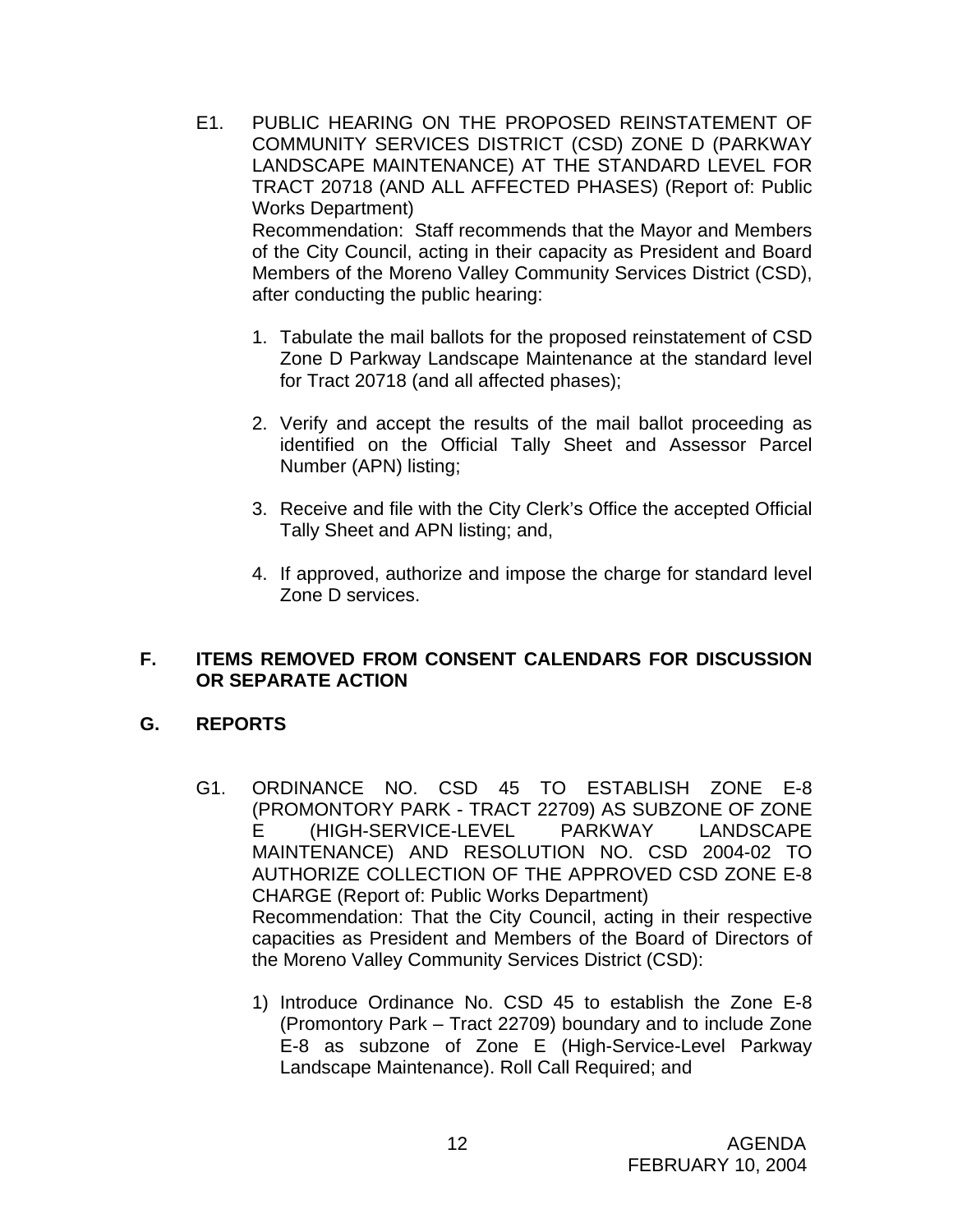- E1. PUBLIC HEARING ON THE PROPOSED REINSTATEMENT OF COMMUNITY SERVICES DISTRICT (CSD) ZONE D (PARKWAY LANDSCAPE MAINTENANCE) AT THE STANDARD LEVEL FOR TRACT 20718 (AND ALL AFFECTED PHASES) (Report of: Public Works Department) Recommendation: Staff recommends that the Mayor and Members of the City Council, acting in their capacity as President and Board Members of the Moreno Valley Community Services District (CSD), after conducting the public hearing:
	- 1. Tabulate the mail ballots for the proposed reinstatement of CSD Zone D Parkway Landscape Maintenance at the standard level for Tract 20718 (and all affected phases);
	- 2. Verify and accept the results of the mail ballot proceeding as identified on the Official Tally Sheet and Assessor Parcel Number (APN) listing;
	- 3. Receive and file with the City Clerk's Office the accepted Official Tally Sheet and APN listing; and,
	- 4. If approved, authorize and impose the charge for standard level Zone D services.

### **F. ITEMS REMOVED FROM CONSENT CALENDARS FOR DISCUSSION OR SEPARATE ACTION**

# **G. REPORTS**

- G1. ORDINANCE NO. CSD 45 TO ESTABLISH ZONE E-8 (PROMONTORY PARK - TRACT 22709) AS SUBZONE OF ZONE E (HIGH-SERVICE-LEVEL PARKWAY LANDSCAPE MAINTENANCE) AND RESOLUTION NO. CSD 2004-02 TO AUTHORIZE COLLECTION OF THE APPROVED CSD ZONE E-8 CHARGE (Report of: Public Works Department) Recommendation: That the City Council, acting in their respective capacities as President and Members of the Board of Directors of the Moreno Valley Community Services District (CSD):
	- 1) Introduce Ordinance No. CSD 45 to establish the Zone E-8 (Promontory Park – Tract 22709) boundary and to include Zone E-8 as subzone of Zone E (High-Service-Level Parkway Landscape Maintenance). Roll Call Required; and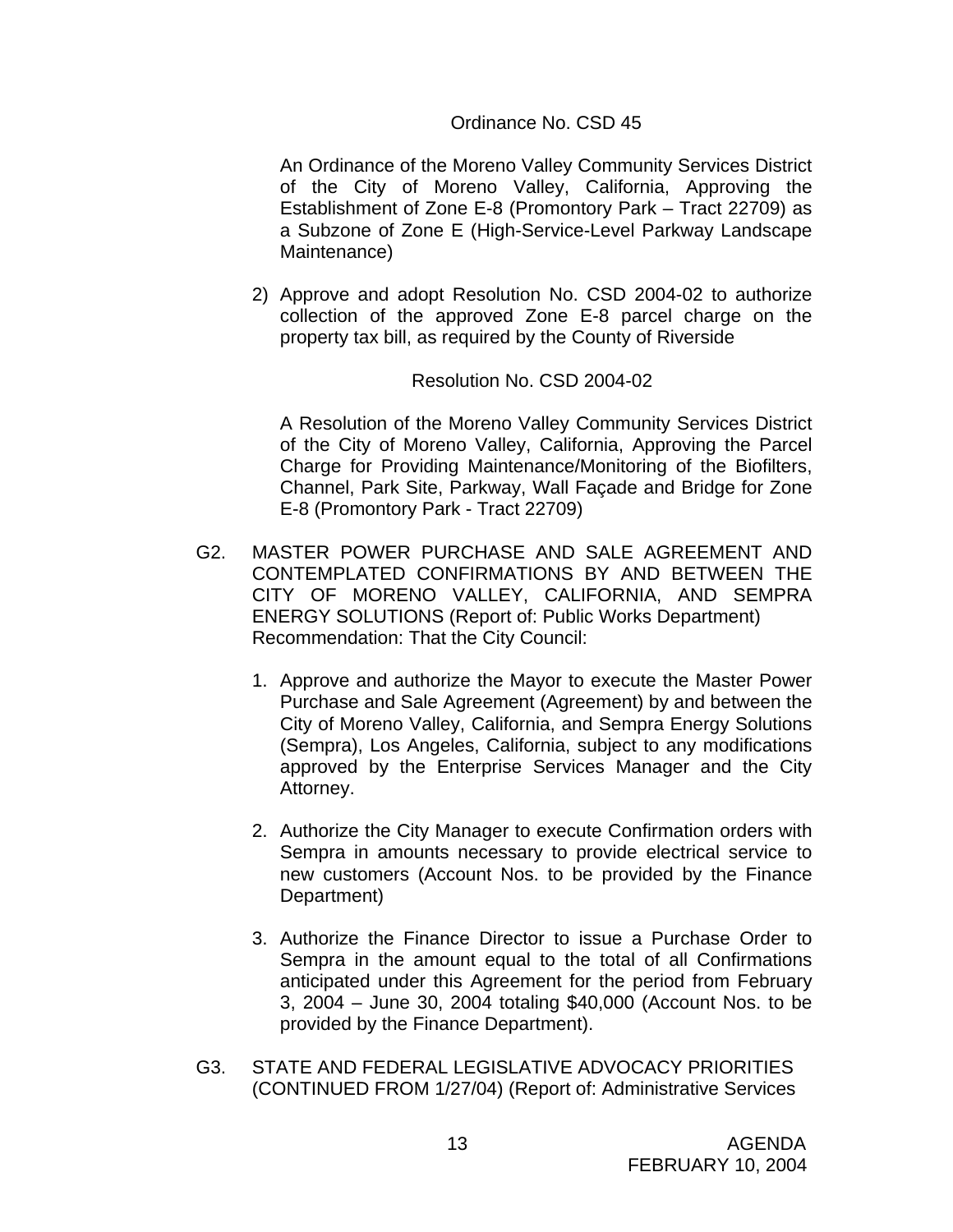### Ordinance No. CSD 45

An Ordinance of the Moreno Valley Community Services District of the City of Moreno Valley, California, Approving the Establishment of Zone E-8 (Promontory Park – Tract 22709) as a Subzone of Zone E (High-Service-Level Parkway Landscape Maintenance)

2) Approve and adopt Resolution No. CSD 2004-02 to authorize collection of the approved Zone E-8 parcel charge on the property tax bill, as required by the County of Riverside

#### Resolution No. CSD 2004-02

A Resolution of the Moreno Valley Community Services District of the City of Moreno Valley, California, Approving the Parcel Charge for Providing Maintenance/Monitoring of the Biofilters, Channel, Park Site, Parkway, Wall Façade and Bridge for Zone E-8 (Promontory Park - Tract 22709)

- G2. MASTER POWER PURCHASE AND SALE AGREEMENT AND CONTEMPLATED CONFIRMATIONS BY AND BETWEEN THE CITY OF MORENO VALLEY, CALIFORNIA, AND SEMPRA ENERGY SOLUTIONS (Report of: Public Works Department) Recommendation: That the City Council:
	- 1. Approve and authorize the Mayor to execute the Master Power Purchase and Sale Agreement (Agreement) by and between the City of Moreno Valley, California, and Sempra Energy Solutions (Sempra), Los Angeles, California, subject to any modifications approved by the Enterprise Services Manager and the City Attorney.
	- 2. Authorize the City Manager to execute Confirmation orders with Sempra in amounts necessary to provide electrical service to new customers (Account Nos. to be provided by the Finance Department)
	- 3. Authorize the Finance Director to issue a Purchase Order to Sempra in the amount equal to the total of all Confirmations anticipated under this Agreement for the period from February 3, 2004 – June 30, 2004 totaling \$40,000 (Account Nos. to be provided by the Finance Department).
- G3. STATE AND FEDERAL LEGISLATIVE ADVOCACY PRIORITIES (CONTINUED FROM 1/27/04) (Report of: Administrative Services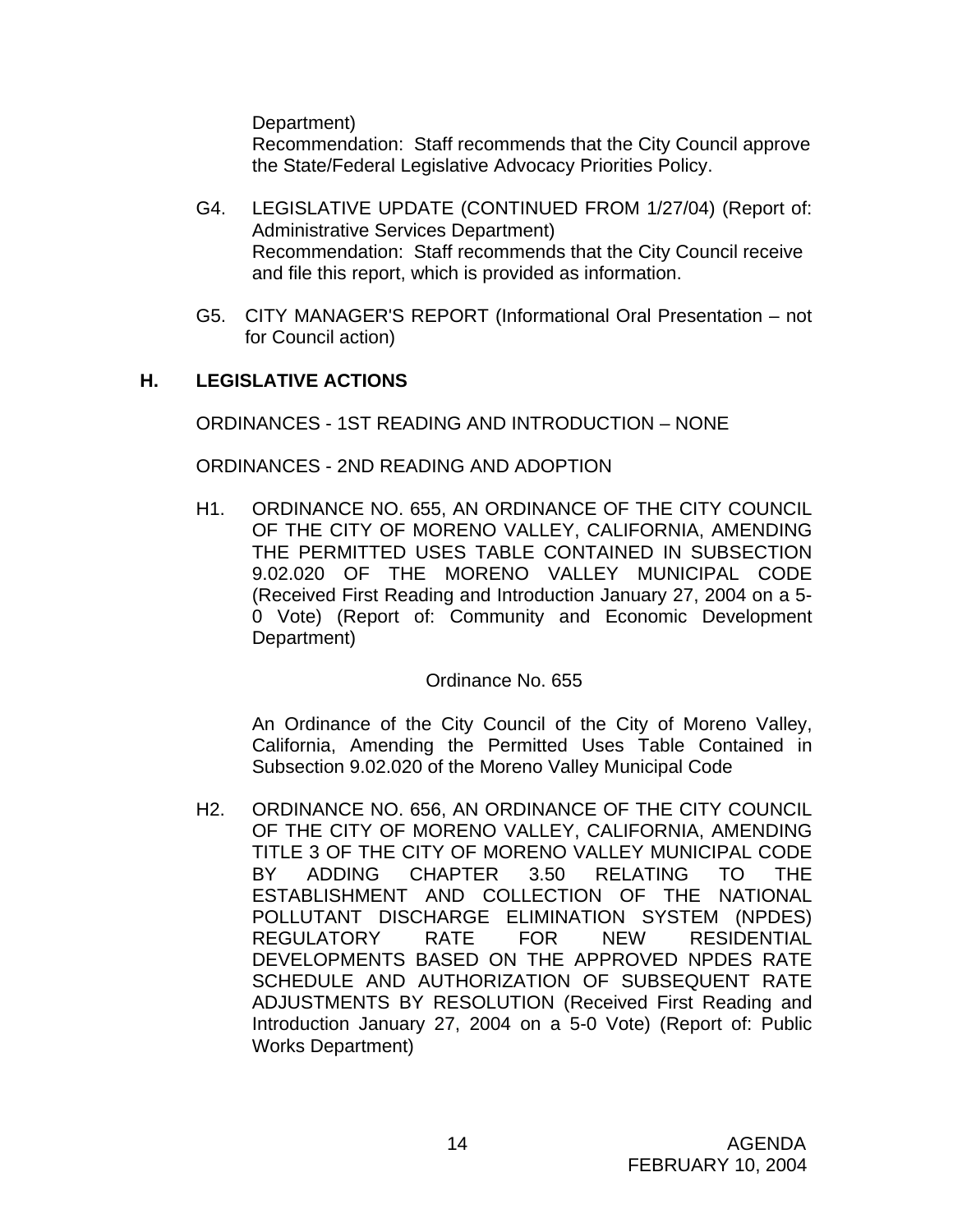Department)

 Recommendation: Staff recommends that the City Council approve the State/Federal Legislative Advocacy Priorities Policy.

- G4. LEGISLATIVE UPDATE (CONTINUED FROM 1/27/04) (Report of: Administrative Services Department) Recommendation: Staff recommends that the City Council receive and file this report, which is provided as information.
- G5. CITY MANAGER'S REPORT (Informational Oral Presentation not for Council action)

# **H. LEGISLATIVE ACTIONS**

ORDINANCES - 1ST READING AND INTRODUCTION – NONE

ORDINANCES - 2ND READING AND ADOPTION

H1. ORDINANCE NO. 655, AN ORDINANCE OF THE CITY COUNCIL OF THE CITY OF MORENO VALLEY, CALIFORNIA, AMENDING THE PERMITTED USES TABLE CONTAINED IN SUBSECTION 9.02.020 OF THE MORENO VALLEY MUNICIPAL CODE (Received First Reading and Introduction January 27, 2004 on a 5- 0 Vote) (Report of: Community and Economic Development Department)

#### Ordinance No. 655

An Ordinance of the City Council of the City of Moreno Valley, California, Amending the Permitted Uses Table Contained in Subsection 9.02.020 of the Moreno Valley Municipal Code

H2. ORDINANCE NO. 656, AN ORDINANCE OF THE CITY COUNCIL OF THE CITY OF MORENO VALLEY, CALIFORNIA, AMENDING TITLE 3 OF THE CITY OF MORENO VALLEY MUNICIPAL CODE BY ADDING CHAPTER 3.50 RELATING TO THE ESTABLISHMENT AND COLLECTION OF THE NATIONAL POLLUTANT DISCHARGE ELIMINATION SYSTEM (NPDES) REGULATORY RATE FOR NEW RESIDENTIAL DEVELOPMENTS BASED ON THE APPROVED NPDES RATE SCHEDULE AND AUTHORIZATION OF SUBSEQUENT RATE ADJUSTMENTS BY RESOLUTION (Received First Reading and Introduction January 27, 2004 on a 5-0 Vote) (Report of: Public Works Department)